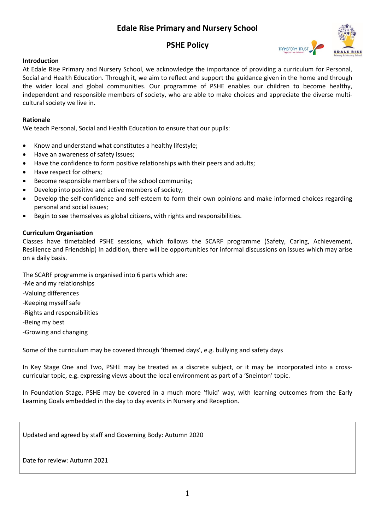# **Edale Rise Primary and Nursery School**

## **PSHE Policy**



## **Introduction**

At Edale Rise Primary and Nursery School, we acknowledge the importance of providing a curriculum for Personal, Social and Health Education. Through it, we aim to reflect and support the guidance given in the home and through the wider local and global communities. Our programme of PSHE enables our children to become healthy, independent and responsible members of society, who are able to make choices and appreciate the diverse multicultural society we live in.

## **Rationale**

We teach Personal, Social and Health Education to ensure that our pupils:

- Know and understand what constitutes a healthy lifestyle;
- Have an awareness of safety issues;
- Have the confidence to form positive relationships with their peers and adults;
- Have respect for others;
- Become responsible members of the school community;
- Develop into positive and active members of society;
- Develop the self-confidence and self-esteem to form their own opinions and make informed choices regarding personal and social issues;
- Begin to see themselves as global citizens, with rights and responsibilities.

#### **Curriculum Organisation**

Classes have timetabled PSHE sessions, which follows the SCARF programme (Safety, Caring, Achievement, Resilience and Friendship) In addition, there will be opportunities for informal discussions on issues which may arise on a daily basis.

The SCARF programme is organised into 6 parts which are:

- -Me and my relationships
- -Valuing differences
- -Keeping myself safe
- -Rights and responsibilities
- -Being my best
- -Growing and changing

Some of the curriculum may be covered through 'themed days', e.g. bullying and safety days

In Key Stage One and Two, PSHE may be treated as a discrete subject, or it may be incorporated into a crosscurricular topic, e.g. expressing views about the local environment as part of a 'Sneinton' topic.

In Foundation Stage, PSHE may be covered in a much more 'fluid' way, with learning outcomes from the Early Learning Goals embedded in the day to day events in Nursery and Reception.

Updated and agreed by staff and Governing Body: Autumn 2020

Date for review: Autumn 2021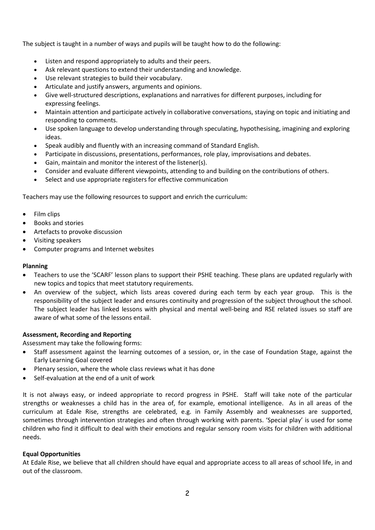The subject is taught in a number of ways and pupils will be taught how to do the following:

- Listen and respond appropriately to adults and their peers.
- Ask relevant questions to extend their understanding and knowledge.
- Use relevant strategies to build their vocabulary.
- Articulate and justify answers, arguments and opinions.
- Give well-structured descriptions, explanations and narratives for different purposes, including for expressing feelings.
- Maintain attention and participate actively in collaborative conversations, staying on topic and initiating and responding to comments.
- Use spoken language to develop understanding through speculating, hypothesising, imagining and exploring ideas.
- Speak audibly and fluently with an increasing command of Standard English.
- Participate in discussions, presentations, performances, role play, improvisations and debates.
- Gain, maintain and monitor the interest of the listener(s).
- Consider and evaluate different viewpoints, attending to and building on the contributions of others.
- Select and use appropriate registers for effective communication

Teachers may use the following resources to support and enrich the curriculum:

- Film clips
- Books and stories
- Artefacts to provoke discussion
- Visiting speakers
- Computer programs and Internet websites

#### **Planning**

- Teachers to use the 'SCARF' lesson plans to support their PSHE teaching. These plans are updated regularly with new topics and topics that meet statutory requirements.
- An overview of the subject, which lists areas covered during each term by each year group. This is the responsibility of the subject leader and ensures continuity and progression of the subject throughout the school. The subject leader has linked lessons with physical and mental well-being and RSE related issues so staff are aware of what some of the lessons entail.

#### **Assessment, Recording and Reporting**

Assessment may take the following forms:

- Staff assessment against the learning outcomes of a session, or, in the case of Foundation Stage, against the Early Learning Goal covered
- Plenary session, where the whole class reviews what it has done
- Self-evaluation at the end of a unit of work

It is not always easy, or indeed appropriate to record progress in PSHE. Staff will take note of the particular strengths or weaknesses a child has in the area of, for example, emotional intelligence. As in all areas of the curriculum at Edale Rise, strengths are celebrated, e.g. in Family Assembly and weaknesses are supported, sometimes through intervention strategies and often through working with parents. 'Special play' is used for some children who find it difficult to deal with their emotions and regular sensory room visits for children with additional needs.

#### **Equal Opportunities**

At Edale Rise, we believe that all children should have equal and appropriate access to all areas of school life, in and out of the classroom.